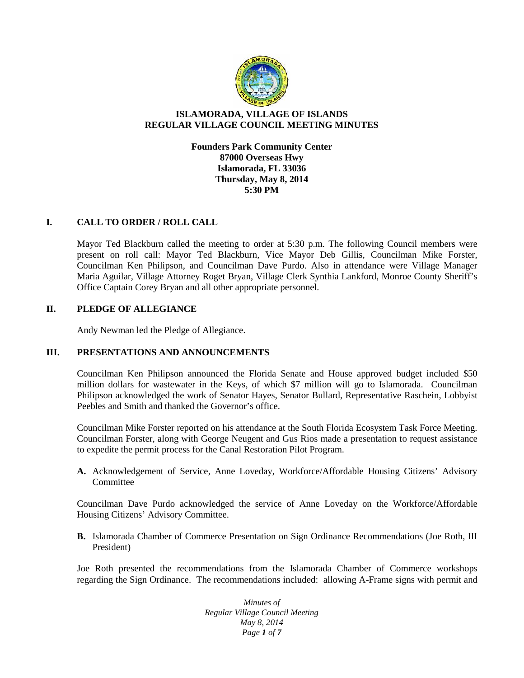

# **ISLAMORADA, VILLAGE OF ISLANDS REGULAR VILLAGE COUNCIL MEETING MINUTES**

**Founders Park Community Center 87000 Overseas Hwy Islamorada, FL 33036 Thursday, May 8, 2014 5:30 PM**

## **I. CALL TO ORDER / ROLL CALL**

Mayor Ted Blackburn called the meeting to order at 5:30 p.m. The following Council members were present on roll call: Mayor Ted Blackburn, Vice Mayor Deb Gillis, Councilman Mike Forster, Councilman Ken Philipson, and Councilman Dave Purdo. Also in attendance were Village Manager Maria Aguilar, Village Attorney Roget Bryan, Village Clerk Synthia Lankford, Monroe County Sheriff's Office Captain Corey Bryan and all other appropriate personnel.

# **II. PLEDGE OF ALLEGIANCE**

Andy Newman led the Pledge of Allegiance.

## **III. PRESENTATIONS AND ANNOUNCEMENTS**

Councilman Ken Philipson announced the Florida Senate and House approved budget included \$50 million dollars for wastewater in the Keys, of which \$7 million will go to Islamorada. Councilman Philipson acknowledged the work of Senator Hayes, Senator Bullard, Representative Raschein, Lobbyist Peebles and Smith and thanked the Governor's office.

Councilman Mike Forster reported on his attendance at the South Florida Ecosystem Task Force Meeting. Councilman Forster, along with George Neugent and Gus Rios made a presentation to request assistance to expedite the permit process for the Canal Restoration Pilot Program.

**A.** Acknowledgement of Service, Anne Loveday, Workforce/Affordable Housing Citizens' Advisory Committee

Councilman Dave Purdo acknowledged the service of Anne Loveday on the Workforce/Affordable Housing Citizens' Advisory Committee.

**B.** Islamorada Chamber of Commerce Presentation on Sign Ordinance Recommendations (Joe Roth, III President)

Joe Roth presented the recommendations from the Islamorada Chamber of Commerce workshops regarding the Sign Ordinance. The recommendations included: allowing A-Frame signs with permit and

> *Minutes of Regular Village Council Meeting May 8, 2014 Page 1 of 7*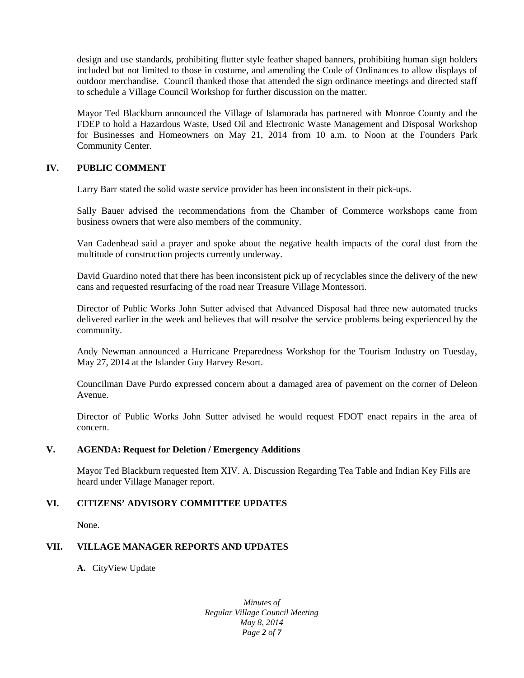design and use standards, prohibiting flutter style feather shaped banners, prohibiting human sign holders included but not limited to those in costume, and amending the Code of Ordinances to allow displays of outdoor merchandise. Council thanked those that attended the sign ordinance meetings and directed staff to schedule a Village Council Workshop for further discussion on the matter.

Mayor Ted Blackburn announced the Village of Islamorada has partnered with Monroe County and the FDEP to hold a Hazardous Waste, Used Oil and Electronic Waste Management and Disposal Workshop for Businesses and Homeowners on May 21, 2014 from 10 a.m. to Noon at the Founders Park Community Center.

# **IV. PUBLIC COMMENT**

Larry Barr stated the solid waste service provider has been inconsistent in their pick-ups.

Sally Bauer advised the recommendations from the Chamber of Commerce workshops came from business owners that were also members of the community.

Van Cadenhead said a prayer and spoke about the negative health impacts of the coral dust from the multitude of construction projects currently underway.

David Guardino noted that there has been inconsistent pick up of recyclables since the delivery of the new cans and requested resurfacing of the road near Treasure Village Montessori.

Director of Public Works John Sutter advised that Advanced Disposal had three new automated trucks delivered earlier in the week and believes that will resolve the service problems being experienced by the community.

Andy Newman announced a Hurricane Preparedness Workshop for the Tourism Industry on Tuesday, May 27, 2014 at the Islander Guy Harvey Resort.

Councilman Dave Purdo expressed concern about a damaged area of pavement on the corner of Deleon Avenue.

Director of Public Works John Sutter advised he would request FDOT enact repairs in the area of concern.

## **V. AGENDA: Request for Deletion / Emergency Additions**

Mayor Ted Blackburn requested Item XIV. A. Discussion Regarding Tea Table and Indian Key Fills are heard under Village Manager report.

# **VI. CITIZENS' ADVISORY COMMITTEE UPDATES**

None.

# **VII. VILLAGE MANAGER REPORTS AND UPDATES**

**A.** CityView Update

*Minutes of Regular Village Council Meeting May 8, 2014 Page 2 of 7*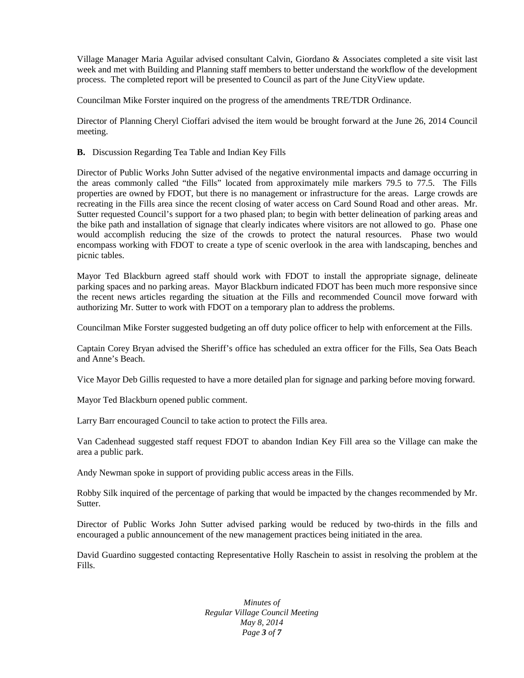Village Manager Maria Aguilar advised consultant Calvin, Giordano & Associates completed a site visit last week and met with Building and Planning staff members to better understand the workflow of the development process. The completed report will be presented to Council as part of the June CityView update.

Councilman Mike Forster inquired on the progress of the amendments TRE/TDR Ordinance.

Director of Planning Cheryl Cioffari advised the item would be brought forward at the June 26, 2014 Council meeting.

**B.** Discussion Regarding Tea Table and Indian Key Fills

Director of Public Works John Sutter advised of the negative environmental impacts and damage occurring in the areas commonly called "the Fills" located from approximately mile markers 79.5 to 77.5. The Fills properties are owned by FDOT, but there is no management or infrastructure for the areas. Large crowds are recreating in the Fills area since the recent closing of water access on Card Sound Road and other areas. Mr. Sutter requested Council's support for a two phased plan; to begin with better delineation of parking areas and the bike path and installation of signage that clearly indicates where visitors are not allowed to go. Phase one would accomplish reducing the size of the crowds to protect the natural resources. Phase two would encompass working with FDOT to create a type of scenic overlook in the area with landscaping, benches and picnic tables.

Mayor Ted Blackburn agreed staff should work with FDOT to install the appropriate signage, delineate parking spaces and no parking areas. Mayor Blackburn indicated FDOT has been much more responsive since the recent news articles regarding the situation at the Fills and recommended Council move forward with authorizing Mr. Sutter to work with FDOT on a temporary plan to address the problems.

Councilman Mike Forster suggested budgeting an off duty police officer to help with enforcement at the Fills.

Captain Corey Bryan advised the Sheriff's office has scheduled an extra officer for the Fills, Sea Oats Beach and Anne's Beach.

Vice Mayor Deb Gillis requested to have a more detailed plan for signage and parking before moving forward.

Mayor Ted Blackburn opened public comment.

Larry Barr encouraged Council to take action to protect the Fills area.

Van Cadenhead suggested staff request FDOT to abandon Indian Key Fill area so the Village can make the area a public park.

Andy Newman spoke in support of providing public access areas in the Fills.

Robby Silk inquired of the percentage of parking that would be impacted by the changes recommended by Mr. Sutter.

Director of Public Works John Sutter advised parking would be reduced by two-thirds in the fills and encouraged a public announcement of the new management practices being initiated in the area.

David Guardino suggested contacting Representative Holly Raschein to assist in resolving the problem at the Fills.

> *Minutes of Regular Village Council Meeting May 8, 2014 Page 3 of 7*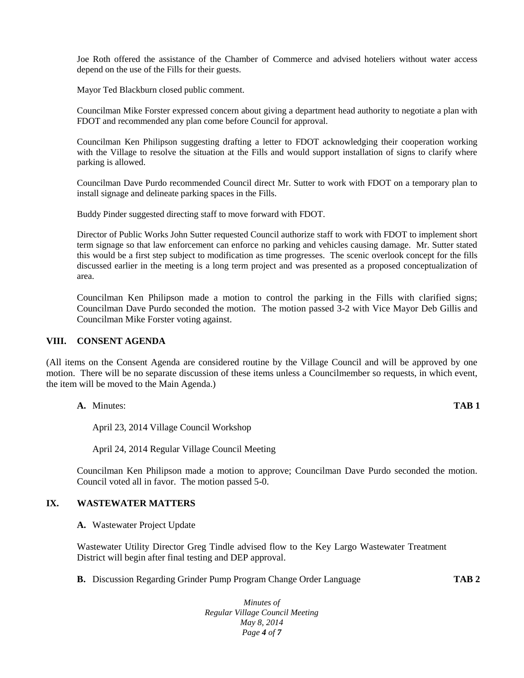Joe Roth offered the assistance of the Chamber of Commerce and advised hoteliers without water access depend on the use of the Fills for their guests.

Mayor Ted Blackburn closed public comment.

Councilman Mike Forster expressed concern about giving a department head authority to negotiate a plan with FDOT and recommended any plan come before Council for approval.

Councilman Ken Philipson suggesting drafting a letter to FDOT acknowledging their cooperation working with the Village to resolve the situation at the Fills and would support installation of signs to clarify where parking is allowed.

Councilman Dave Purdo recommended Council direct Mr. Sutter to work with FDOT on a temporary plan to install signage and delineate parking spaces in the Fills.

Buddy Pinder suggested directing staff to move forward with FDOT.

Director of Public Works John Sutter requested Council authorize staff to work with FDOT to implement short term signage so that law enforcement can enforce no parking and vehicles causing damage. Mr. Sutter stated this would be a first step subject to modification as time progresses. The scenic overlook concept for the fills discussed earlier in the meeting is a long term project and was presented as a proposed conceptualization of area.

Councilman Ken Philipson made a motion to control the parking in the Fills with clarified signs; Councilman Dave Purdo seconded the motion. The motion passed 3-2 with Vice Mayor Deb Gillis and Councilman Mike Forster voting against.

### **VIII. CONSENT AGENDA**

(All items on the Consent Agenda are considered routine by the Village Council and will be approved by one motion. There will be no separate discussion of these items unless a Councilmember so requests, in which event, the item will be moved to the Main Agenda.)

**A.** Minutes: **TAB 1**

April 23, 2014 Village Council Workshop

April 24, 2014 Regular Village Council Meeting

Councilman Ken Philipson made a motion to approve; Councilman Dave Purdo seconded the motion. Council voted all in favor. The motion passed 5-0.

## **IX. WASTEWATER MATTERS**

**A.** Wastewater Project Update

Wastewater Utility Director Greg Tindle advised flow to the Key Largo Wastewater Treatment District will begin after final testing and DEP approval.

**B.** Discussion Regarding Grinder Pump Program Change Order Language **TAB 2**

*Minutes of Regular Village Council Meeting May 8, 2014 Page 4 of 7*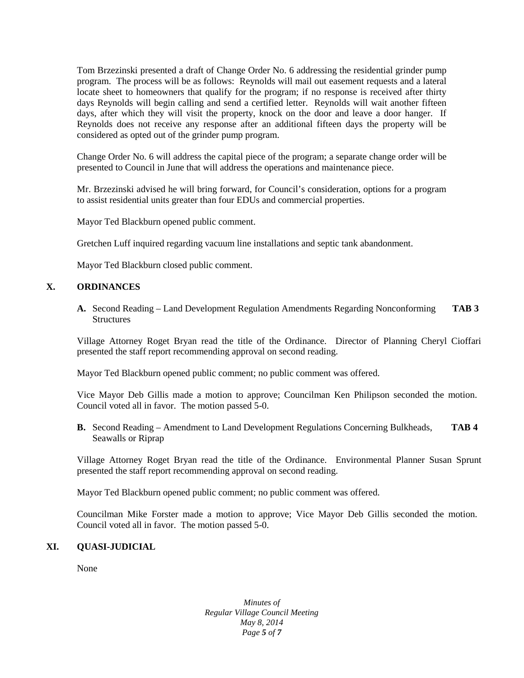Tom Brzezinski presented a draft of Change Order No. 6 addressing the residential grinder pump program. The process will be as follows: Reynolds will mail out easement requests and a lateral locate sheet to homeowners that qualify for the program; if no response is received after thirty days Reynolds will begin calling and send a certified letter. Reynolds will wait another fifteen days, after which they will visit the property, knock on the door and leave a door hanger. If Reynolds does not receive any response after an additional fifteen days the property will be considered as opted out of the grinder pump program.

Change Order No. 6 will address the capital piece of the program; a separate change order will be presented to Council in June that will address the operations and maintenance piece.

Mr. Brzezinski advised he will bring forward, for Council's consideration, options for a program to assist residential units greater than four EDUs and commercial properties.

Mayor Ted Blackburn opened public comment.

Gretchen Luff inquired regarding vacuum line installations and septic tank abandonment.

Mayor Ted Blackburn closed public comment.

## **X. ORDINANCES**

**A.** Second Reading – Land Development Regulation Amendments Regarding Nonconforming **TAB 3 Structures** 

Village Attorney Roget Bryan read the title of the Ordinance. Director of Planning Cheryl Cioffari presented the staff report recommending approval on second reading.

Mayor Ted Blackburn opened public comment; no public comment was offered.

Vice Mayor Deb Gillis made a motion to approve; Councilman Ken Philipson seconded the motion. Council voted all in favor. The motion passed 5-0.

**B.** Second Reading – Amendment to Land Development Regulations Concerning Bulkheads, **TAB 4** Seawalls or Riprap

Village Attorney Roget Bryan read the title of the Ordinance. Environmental Planner Susan Sprunt presented the staff report recommending approval on second reading.

Mayor Ted Blackburn opened public comment; no public comment was offered.

Councilman Mike Forster made a motion to approve; Vice Mayor Deb Gillis seconded the motion. Council voted all in favor. The motion passed 5-0.

# **XI. QUASI-JUDICIAL**

None

*Minutes of Regular Village Council Meeting May 8, 2014 Page 5 of 7*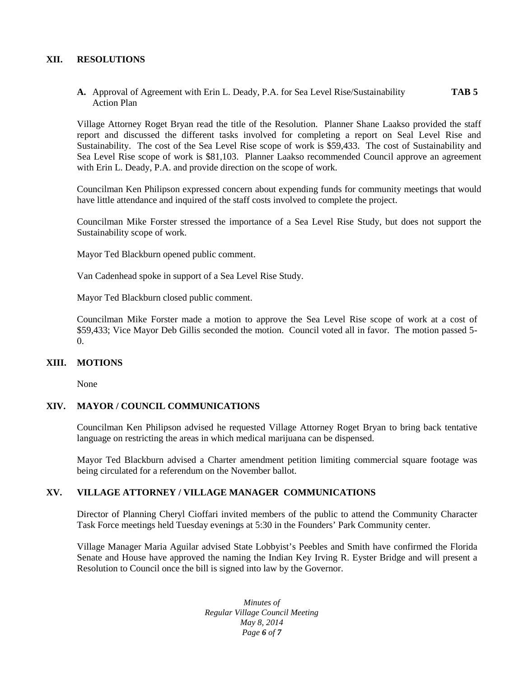### **XII. RESOLUTIONS**

**A.** Approval of Agreement with Erin L. Deady, P.A. for Sea Level Rise/Sustainability **TAB 5** Action Plan

Village Attorney Roget Bryan read the title of the Resolution. Planner Shane Laakso provided the staff report and discussed the different tasks involved for completing a report on Seal Level Rise and Sustainability. The cost of the Sea Level Rise scope of work is \$59,433. The cost of Sustainability and Sea Level Rise scope of work is \$81,103. Planner Laakso recommended Council approve an agreement with Erin L. Deady, P.A. and provide direction on the scope of work.

Councilman Ken Philipson expressed concern about expending funds for community meetings that would have little attendance and inquired of the staff costs involved to complete the project.

Councilman Mike Forster stressed the importance of a Sea Level Rise Study, but does not support the Sustainability scope of work.

Mayor Ted Blackburn opened public comment.

Van Cadenhead spoke in support of a Sea Level Rise Study.

Mayor Ted Blackburn closed public comment.

Councilman Mike Forster made a motion to approve the Sea Level Rise scope of work at a cost of \$59,433; Vice Mayor Deb Gillis seconded the motion. Council voted all in favor. The motion passed 5-  $\Omega$ .

## **XIII. MOTIONS**

None

### **XIV. MAYOR / COUNCIL COMMUNICATIONS**

Councilman Ken Philipson advised he requested Village Attorney Roget Bryan to bring back tentative language on restricting the areas in which medical marijuana can be dispensed.

Mayor Ted Blackburn advised a Charter amendment petition limiting commercial square footage was being circulated for a referendum on the November ballot.

## **XV. VILLAGE ATTORNEY / VILLAGE MANAGER COMMUNICATIONS**

Director of Planning Cheryl Cioffari invited members of the public to attend the Community Character Task Force meetings held Tuesday evenings at 5:30 in the Founders' Park Community center.

Village Manager Maria Aguilar advised State Lobbyist's Peebles and Smith have confirmed the Florida Senate and House have approved the naming the Indian Key Irving R. Eyster Bridge and will present a Resolution to Council once the bill is signed into law by the Governor.

> *Minutes of Regular Village Council Meeting May 8, 2014 Page 6 of 7*